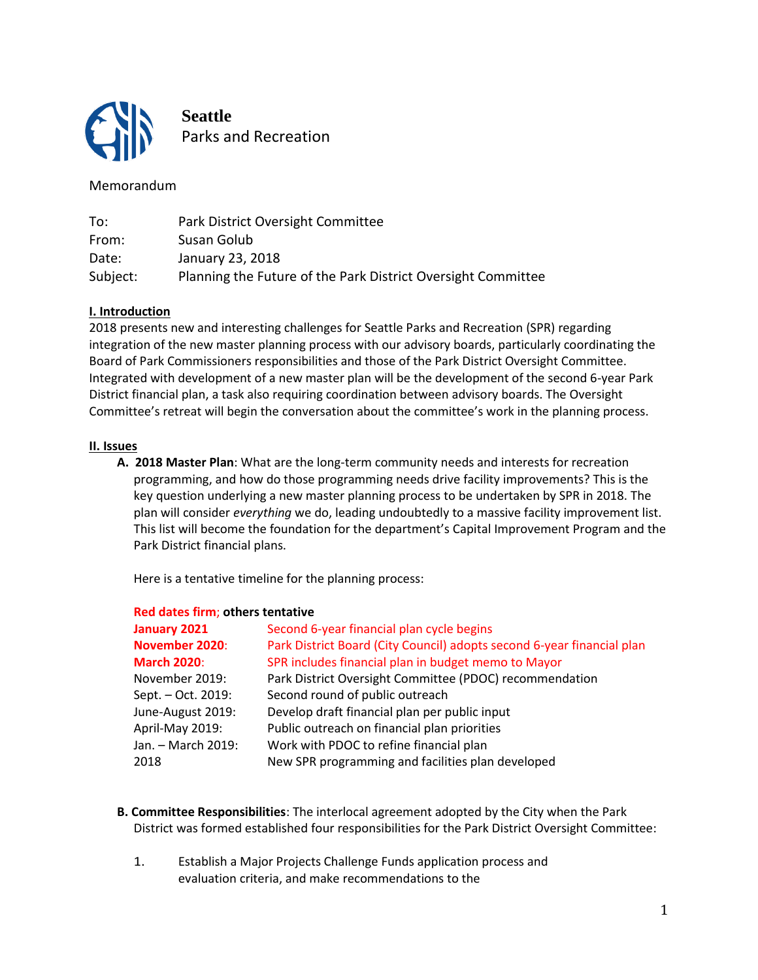

**Seattle** Parks and Recreation

# Memorandum

| To:      | Park District Oversight Committee                            |
|----------|--------------------------------------------------------------|
| From:    | Susan Golub                                                  |
| Date:    | January 23, 2018                                             |
| Subject: | Planning the Future of the Park District Oversight Committee |

## **I. Introduction**

2018 presents new and interesting challenges for Seattle Parks and Recreation (SPR) regarding integration of the new master planning process with our advisory boards, particularly coordinating the Board of Park Commissioners responsibilities and those of the Park District Oversight Committee. Integrated with development of a new master plan will be the development of the second 6-year Park District financial plan, a task also requiring coordination between advisory boards. The Oversight Committee's retreat will begin the conversation about the committee's work in the planning process.

### **II. Issues**

**A. 2018 Master Plan**: What are the long-term community needs and interests for recreation programming, and how do those programming needs drive facility improvements? This is the key question underlying a new master planning process to be undertaken by SPR in 2018. The plan will consider *everything* we do, leading undoubtedly to a massive facility improvement list. This list will become the foundation for the department's Capital Improvement Program and the Park District financial plans.

Here is a tentative timeline for the planning process:

| January 2021       | Second 6-year financial plan cycle begins                              |
|--------------------|------------------------------------------------------------------------|
| November 2020:     | Park District Board (City Council) adopts second 6-year financial plan |
| <b>March 2020:</b> | SPR includes financial plan in budget memo to Mayor                    |
| November 2019:     | Park District Oversight Committee (PDOC) recommendation                |
| Sept. - Oct. 2019: | Second round of public outreach                                        |
| June-August 2019:  | Develop draft financial plan per public input                          |
| April-May 2019:    | Public outreach on financial plan priorities                           |
| Jan. - March 2019: | Work with PDOC to refine financial plan                                |
| 2018               | New SPR programming and facilities plan developed                      |
|                    |                                                                        |

### **Red dates firm**; **others tentative**

- **B. Committee Responsibilities**: The interlocal agreement adopted by the City when the Park District was formed established four responsibilities for the Park District Oversight Committee:
	- 1. Establish a Major Projects Challenge Funds application process and evaluation criteria, and make recommendations to the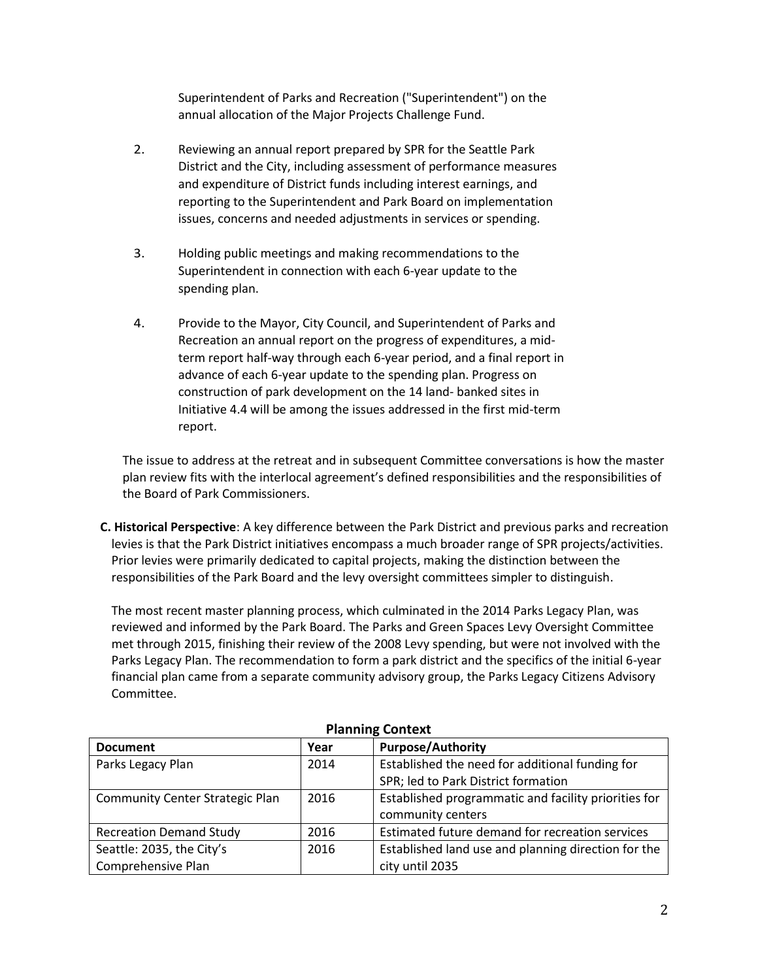Superintendent of Parks and Recreation ("Superintendent") on the annual allocation of the Major Projects Challenge Fund.

- 2. Reviewing an annual report prepared by SPR for the Seattle Park District and the City, including assessment of performance measures and expenditure of District funds including interest earnings, and reporting to the Superintendent and Park Board on implementation issues, concerns and needed adjustments in services or spending.
- 3. Holding public meetings and making recommendations to the Superintendent in connection with each 6-year update to the spending plan.
- 4. Provide to the Mayor, City Council, and Superintendent of Parks and Recreation an annual report on the progress of expenditures, a midterm report half-way through each 6-year period, and a final report in advance of each 6-year update to the spending plan. Progress on construction of park development on the 14 land- banked sites in Initiative 4.4 will be among the issues addressed in the first mid-term report.

The issue to address at the retreat and in subsequent Committee conversations is how the master plan review fits with the interlocal agreement's defined responsibilities and the responsibilities of the Board of Park Commissioners.

**C. Historical Perspective**: A key difference between the Park District and previous parks and recreation levies is that the Park District initiatives encompass a much broader range of SPR projects/activities. Prior levies were primarily dedicated to capital projects, making the distinction between the responsibilities of the Park Board and the levy oversight committees simpler to distinguish.

The most recent master planning process, which culminated in the 2014 Parks Legacy Plan, was reviewed and informed by the Park Board. The Parks and Green Spaces Levy Oversight Committee met through 2015, finishing their review of the 2008 Levy spending, but were not involved with the Parks Legacy Plan. The recommendation to form a park district and the specifics of the initial 6-year financial plan came from a separate community advisory group, the Parks Legacy Citizens Advisory Committee.

| PIGIIIIIIIR CONCEXU                    |      |                                                                                        |  |  |  |
|----------------------------------------|------|----------------------------------------------------------------------------------------|--|--|--|
| <b>Document</b>                        | Year | <b>Purpose/Authority</b>                                                               |  |  |  |
| Parks Legacy Plan                      | 2014 | Established the need for additional funding for<br>SPR; led to Park District formation |  |  |  |
| <b>Community Center Strategic Plan</b> | 2016 | Established programmatic and facility priorities for<br>community centers              |  |  |  |
| <b>Recreation Demand Study</b>         | 2016 | Estimated future demand for recreation services                                        |  |  |  |
| Seattle: 2035, the City's              | 2016 | Established land use and planning direction for the                                    |  |  |  |
| Comprehensive Plan                     |      | city until 2035                                                                        |  |  |  |

## **Planning Context**